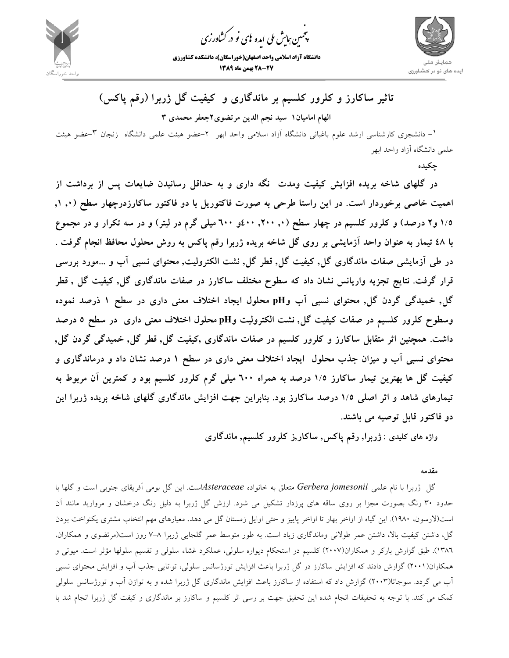

.<br>چمین *جایش ملی* ایده <sup>ب</sup>ای نو در کشاورزی ൕह

**دانشگاه آزاد اسلامي واحد اصفهان(خوراسگان)، دانشكده كشاورزي 28-27 بهمن ماه 1389**



**تاثير ساكارز و كلرور كلسيم بر ماندگاري و كيفيت گل ژربرا (رقم پاكس)**

**الهام اماميان1 سيد نجم الدين مرتضوي2جعفر محمدي 3** 

-١ دانشجوي كارشناسي ارشد علوم باغباني دانشگاه آزاد اسلامي واحد ابهر -2 عضو هيئت علمي دانشگاه زنجان -٣عضو هيئت علمي دانشگاه آزاد واحد ابهر

**چكيده** 

**در گلهاي شاخه بريده افزايش كيفيت ومدت نگه داري و به حداقل رسانيدن ضايعات پس از برداشت از** اهمیت خاصی برخوردار است. در این راستا طرحی به صورت فاکتوریل با دو فاکتور ساکارزدرچهار سطح (۰٫۱٫۰ ۱/۵ و۲ درصد) و کلرور کلسیم در چهار سطح (۰٫ ۲۰۰٫ ۶۰۰و ٦۰۰ میلی گرم در لیتر) و در سه تکرار و در مجموع با ٤٨ تيمار به عنوان واحد آزمايشي بر روى گل شاخه بريده ژربرا رقم پاكس به روش محلول محافظ انجام گرفت . در طی آزمایشی صفات ماندگاری گل, کیفیت گل, قطر گل, نشت الکترولیت, محتوای نسبی آب و …مورد بررسی قرار گرفت. نتایج تجزیه واریانس نشان داد که سطوح مختلف ساکارز در صفات ماندگاری گل, کیفیت گل , قطر گل, خمیدگی گردن گل, محتوای نسبی آب وpH محلول ایجاد اختلاف معنی داری در سطح ۱ ذرصد نموده وسطوح کلرور کلسیم در صفات کیفیت گل, نشت الکترولیت وpH محلول اختلاف معنی داری در سطح ٥ درصد داشت. همچنین اثر متقابل ساکارز و کلرور کلسیم در صفات ماندگاری ,کیفیت گل, قطر گل, خمیدگی گردن گل, محتوای نسبی آب و میزان جذب محلول ایجاد اختلاف معنی داری در سطح ۱ درصد نشان داد و درماندگاری و کیفیت گل ها بهترین تیمار ساکارز ۱/۵ درصد به همراه ٦٠٠ میلی گرم کلرور کلسیم بود و کمترین آن مربوط به تیمارهای شاهد و اثر اصلی ۱/۵ درصد ساکارز بود. بنابراین جهت افزایش ماندگاری گلهای شاخه بریده ژربرا این **دو فاكتور قابل توصيه مي باشند.** 

**واژه هاي كليدي** : **ژربرا, رقم پاكس, ساكار,ز كلرور كلسيم, ماندگاري**

**مقدمه** 

گل ژربرا با نام علمي *jomesonii Gerbera* متعلق به خانواده *Asteraceae*است. اين گل بومي آفريقاي جنوبي است و گلها با حدود 30 رنگ بصورت مجزا بر روي ساقه هاي پرزدار تشكيل مي شود. ارزش گل ژربرا به دليل رنگ درخشان و مرواريد مانند آن است(لارسون، 1980). اين گياه از اواخر بهار تا اواخر پاييز و حتي اوايل زمستان گل مي دهد. معيارهاي مهم انتخاب مشتري يكنواخت بودن گل، داشتن كيفيت بالا، داشتن عمر طولاني وماندگاري زياد است. به طور متوسط عمر گلجايي ژربرا 7-8 روز است(مرتضوي و همكاران، 1386). طبق گزارش باركر و همكاران(2007) كلسيم در استحكام ديواره سلولي، عملكرد غشاء سلولي و تقسيم سلولها مؤثر است. ميوتي و همكاران(2001) گزارش دادند كه افزايش ساكارز در گل ژربرا باعث افزايش تورژسانس سلولي، توانايي جذب آب و افزايش محتواي نسبي آب مي گردد. سوجاتا(2003) گزارش داد كه استفاده از ساكارز باعث افزايش ماندگاري گل ژربرا شده و به توازن آب و تورژسانس سلولي كمك مي كند. با توجه به تحقيقات انجام شده اين تحقيق جهت بر رسي اثر كلسيم و ساكارز بر ماندگاري و كيفت گل ژربرا انجام شد با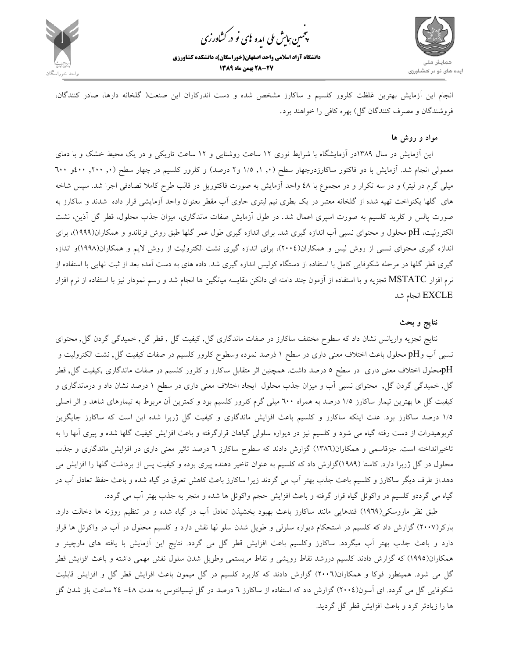

.<br>چمین *جایش ملی* ایده <sup>ب</sup>ای نو در کشاورزی ൕह

**دانشگاه آزاد اسلامي واحد اصفهان(خوراسگان)، دانشكده كشاورزي 28-27 بهمن ماه 1389**



انجام اين آزمايش بهترين غلظت كلرور كلسيم و ساكارز مشخص شده و دست اندركاران اين صنعت( گلخانه دارها، صادر كنندگان، فروشندگان و مصرف كنندگان گل) بهره كافي را خواهند برد.

## **مواد و روش ها**

 اين آزمايش در سال 1389در آزمايشگاه با شرايط نوري 12 ساعت روشنايي و 12 ساعت تاريكي و در يك محيط خشك و با دماي معمولي انجام شد. آزمايش با دو فاكتور ساكارزدرچهار سطح (,, ۱, ۱/۵ و۲ درصد) و كلرور كلسيم در چهار سطح (,, ۲۰۰, ٤٠٠و ٦٠٠ ميلي گرم در ليتر) و در سه تكرار و در مجموع با 48 واحد آزمايش به صورت فاكتوريل در قالب طرح كاملا تصادفي اجرا شد. سپس شاخه هاي گلها يكنواخت تهيه شده از گلخانه معتبر در يك بطري نيم ليتري حاوي آب مقطر بعنوان واحد آزمايشي قرار داده شدند و ساكارز به صورت پالس و كلريد كلسيم به صورت اسپري اعمال شد. در طول آزمايش صفات ماندگاري، ميزان جذب محلول، قطر گل آذين، نشت الكتروليت، pH محلول و محتواي نسبي آب اندازه گيري شد. براي اندازه گيري طول عمر گلها طبق روش فرناندو و همكاران(1999)، براي اندازه گيري محتواي نسبي از روش ليس و همكاران(2004)، براي اندازه گيري نشت الكتروليت از روش لايم و همكاران(1998)و اندازه گيري قطر گلها در مرحله شكوفايي كامل با استفاده از دستگاه كوليس اندازه گيري شد. داده هاي به دست آمده بعد از ثبت نهايي با استفاده از نرم افزار MSTATC تجزيه و با استفاده از آزمون چند دامنه اي دانكن مقايسه ميانگين ها انجام شد و رسم نمودار نيز با استفاده از نرم افزار EXCLE انجام شد

## **نتايج و بحث**

نتايج تجزيه واريانس نشان داد كه سطوح مختلف ساكارز در صفات ماندگاري گل, كيفيت گل , قطر گل, خميدگي گردن گل, محتواي نسبي آب وpH محلول باعث اختلاف معني داري در سطح 1 ذرصد نموده وسطوح كلرور كلسيم در صفات كيفيت گل, نشت الكتروليت و pHمحلول اختلاف معني داري در سطح 5 درصد داشت. همچنين اثر متقابل ساكارز و كلرور كلسيم در صفات ماندگاري ,كيفيت گل, قطر گل, خميدگي گردن گل, محتواي نسبي آب و ميزان جذب محلول ايجاد اختلاف معني داري در سطح 1 درصد نشان داد و درماندگاري و كيفيت گل ها بهترين تيمار ساكارز 1/5 درصد به همراه 600 ميلي گرم كلرور كلسيم بود و كمترين آن مربوط به تيمارهاي شاهد و اثر اصلي 1/5 درصد ساكارز بود. علت اينكه ساكارز و كلسيم باعث افزايش ماندگاري و كيفيت گل ژربرا شده اين است كه ساكارز جايگزين كربوهيدرات از دست رفته گياه مي شود و كلسيم نيز در ديواره سلولي گياهان قرارگرفته و باعث افزايش كيفيت گلها شده و پيري آنها را به تاخيرانداخته است. جزقاسمي و همكاران(1386) گزارش دادند كه سطوح ساكارز 6 درصد تاثير معني داري در افزايش ماندگاري و جذب محلول در گل ژربرا دارد. كاستا (1989)گزارش داد كه كلسيم به عنوان تاخير دهنده پيري بوده و كيفيت پس از برداشت گلها را افزايش مي دهد.از طرف ديگر ساكارز و كلسيم باعث جذب بهتر آب مي گردند زيرا ساكارز باعث كاهش تعرق در گياه شده و باعث حفظ تعادل آب در گياه مي گرددو كلسيم در واكوئل گياه قرار گرفته و باعث افزايش حجم واكوئل ها شده و منجر به جذب بهتر آب مي گردد.

طبق نظر ماروسكي(1969) قندهايي مانند ساكارز باعث بهبود بخشيذن تعادل آب در گياه شده و در تنظيم روزنه ها دخالت دارد. باركر(2007) گزارش داد كه كلسيم در استحكام ديواره سلولي و طويل شدن سلو لها نقش دارد و كلسيم محلول در آب در واكوئل ها قرار دارد و باعث جذب بهتر آب ميگردد. ساكارز وكلسيم باعث افزايش قطر گل مي گردد. نتايج اين آزمايش با يافته هاي مارچينر و همكاران(1995) كه گزارش دادند كلسيم دررشد نقاط رويشي و نقاط مريستمي وطويل شدن سلول نقش مهمي داشته و باعث افزايش قطر گل مي شود. همينطور فوكا و همكاران(2006) گزارش دادند كه كاربرد كلسيم در گل ميمون باعث افزايش قطر گل و افزايش قابليت شكوفايي گل مي گردد. اي آسون(2004) گزارش داد كه استفاده از ساكارز 6 درصد در گل ليسيانتوس به مدت -48 24 ساعت باز شدن گل ها را زيادتر كرد و باعث افزايش قطر گل گرديد.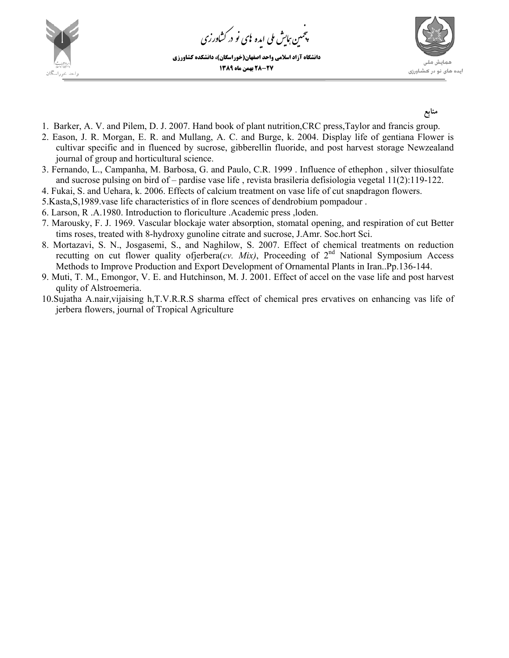

مین ہایش ملی ایده <sup>ب</sup>ای نو در کشاورزی ൕह ،<br>پې

**دانشگاه آزاد اسلامي واحد اصفهان(خوراسگان)، دانشكده كشاورزي 28-27 بهمن ماه 1389**



**منابع** 

- 1. Barker, A. V. and Pilem, D. J. 2007. Hand book of plant nutrition,CRC press,Taylor and francis group.
- 2. Eason, J. R. Morgan, E. R. and Mullang, A. C. and Burge, k. 2004. Display life of gentiana Flower is cultivar specific and in fluenced by sucrose, gibberellin fluoride, and post harvest storage Newzealand journal of group and horticultural science.
- 3. Fernando, L., Campanha, M. Barbosa, G. and Paulo, C.R. 1999 . Influence of ethephon , silver thiosulfate and sucrose pulsing on bird of – pardise vase life , revista brasileria defisiologia vegetal 11(2):119-122.
- 4. Fukai, S. and Uehara, k. 2006. Effects of calcium treatment on vase life of cut snapdragon flowers.
- 5.Kasta,S,1989.vase life characteristics of in flore scences of dendrobium pompadour .
- 6. Larson, R .A.1980. Introduction to floriculture .Academic press ,loden.
- 7. Marousky, F. J. 1969. Vascular blockaje water absorption, stomatal opening, and respiration of cut Better tims roses, treated with 8-hydroxy gunoline citrate and sucrose, J.Amr. Soc.hort Sci.
- 8. Mortazavi, S. N., Josgasemi, S., and Naghilow, S. 2007. Effect of chemical treatments on reduction recutting on cut flower quality ofjerbera(*cv. Mix)*, Proceeding of 2nd National Symposium Access Methods to Improve Production and Export Development of Ornamental Plants in Iran..Pp.136-144.
- 9. Muti, T. M., Emongor, V. E. and Hutchinson, M. J. 2001. Effect of accel on the vase life and post harvest qulity of Alstroemeria.
- 10.Sujatha A.nair,vijaising h,T.V.R.R.S sharma effect of chemical pres ervatives on enhancing vas life of jerbera flowers, journal of Tropical Agriculture